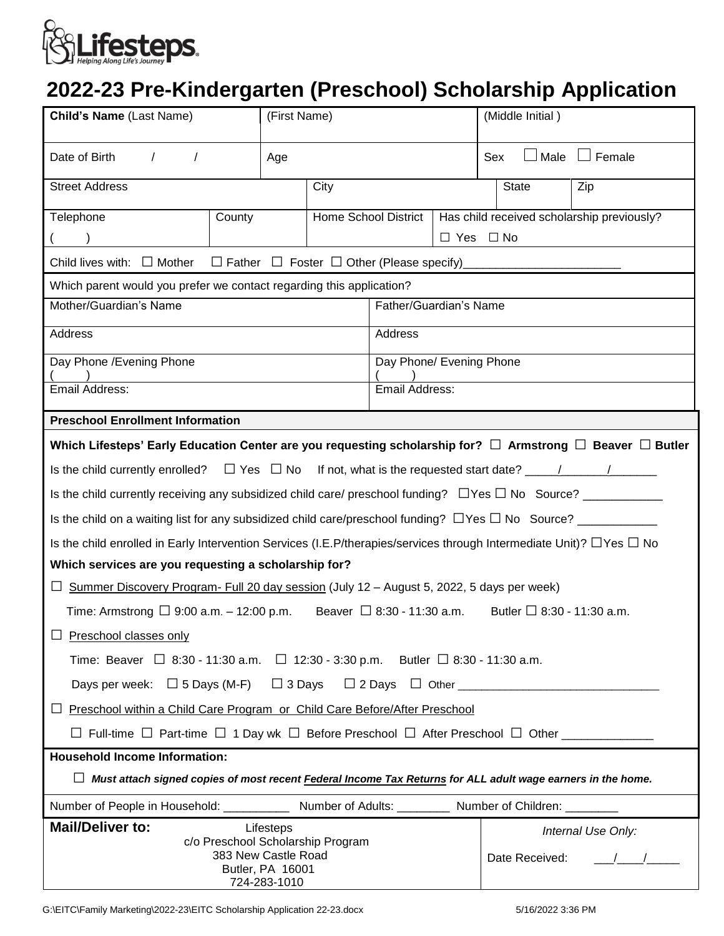

## **2022-23 Pre-Kindergarten (Preschool) Scholarship Application**

| <b>Child's Name (Last Name)</b>                                                                                                                        |        | (First Name)                |                          |                      |                                            | (Middle Initial)                    |               |
|--------------------------------------------------------------------------------------------------------------------------------------------------------|--------|-----------------------------|--------------------------|----------------------|--------------------------------------------|-------------------------------------|---------------|
| Date of Birth<br>$\prime$                                                                                                                              | Age    |                             |                          |                      | Sex                                        | $\Box$ Male                         | $\Box$ Female |
| <b>Street Address</b>                                                                                                                                  |        | City                        |                          | <b>State</b>         |                                            | Zip                                 |               |
| Telephone                                                                                                                                              | County | <b>Home School District</b> |                          |                      | Has child received scholarship previously? |                                     |               |
|                                                                                                                                                        |        |                             |                          | $\Box$ Yes $\Box$ No |                                            |                                     |               |
| $\Box$ Father $\Box$ Foster $\Box$ Other (Please specify)<br>Child lives with: $\Box$ Mother                                                           |        |                             |                          |                      |                                            |                                     |               |
| Which parent would you prefer we contact regarding this application?                                                                                   |        |                             |                          |                      |                                            |                                     |               |
| Mother/Guardian's Name                                                                                                                                 |        |                             | Father/Guardian's Name   |                      |                                            |                                     |               |
| Address                                                                                                                                                |        |                             | Address                  |                      |                                            |                                     |               |
| Day Phone / Evening Phone                                                                                                                              |        |                             | Day Phone/ Evening Phone |                      |                                            |                                     |               |
| Email Address:                                                                                                                                         |        |                             | Email Address:           |                      |                                            |                                     |               |
| <b>Preschool Enrollment Information</b>                                                                                                                |        |                             |                          |                      |                                            |                                     |               |
| Which Lifesteps' Early Education Center are you requesting scholarship for? $\Box$ Armstrong $\Box$ Beaver $\Box$ Butler                               |        |                             |                          |                      |                                            |                                     |               |
| Is the child currently enrolled?                                                                                                                       |        |                             |                          |                      |                                            |                                     |               |
|                                                                                                                                                        |        |                             |                          |                      |                                            |                                     |               |
| Is the child on a waiting list for any subsidized child care/preschool funding? $\Box$ Yes $\Box$ No Source? $\Box$                                    |        |                             |                          |                      |                                            |                                     |               |
| Is the child enrolled in Early Intervention Services (I.E.P/therapies/services through Intermediate Unit)? $\Box$ Yes $\Box$ No                        |        |                             |                          |                      |                                            |                                     |               |
| Which services are you requesting a scholarship for?                                                                                                   |        |                             |                          |                      |                                            |                                     |               |
| $\Box$ Summer Discovery Program- Full 20 day session (July 12 – August 5, 2022, 5 days per week)                                                       |        |                             |                          |                      |                                            |                                     |               |
| Time: Armstrong $\Box$ 9:00 a.m. - 12:00 p.m. Beaver $\Box$ 8:30 - 11:30 a.m.<br>Butler $\Box$ 8:30 - 11:30 a.m.                                       |        |                             |                          |                      |                                            |                                     |               |
| $\Box$ Preschool classes only                                                                                                                          |        |                             |                          |                      |                                            |                                     |               |
| Time: Beaver $\Box$ 8:30 - 11:30 a.m. $\Box$ 12:30 - 3:30 p.m. Butler $\Box$ 8:30 - 11:30 a.m.                                                         |        |                             |                          |                      |                                            |                                     |               |
|                                                                                                                                                        |        |                             |                          |                      |                                            |                                     |               |
| Preschool within a Child Care Program or Child Care Before/After Preschool<br>ப                                                                        |        |                             |                          |                      |                                            |                                     |               |
| $\Box$ Full-time $\Box$ Part-time $\Box$ 1 Day wk $\Box$ Before Preschool $\Box$ After Preschool $\Box$ Other ______________                           |        |                             |                          |                      |                                            |                                     |               |
| <b>Household Income Information:</b>                                                                                                                   |        |                             |                          |                      |                                            |                                     |               |
| $\Box$ Must attach signed copies of most recent <b>Federal Income Tax Returns</b> for ALL adult wage earners in the home.                              |        |                             |                          |                      |                                            |                                     |               |
| Number of People in Household: ______________ Number of Adults: __________ Number of Children: ____                                                    |        |                             |                          |                      |                                            |                                     |               |
| <b>Mail/Deliver to:</b><br>Lifesteps<br>c/o Preschool Scholarship Program<br>383 New Castle Road<br>Date Received:<br>Butler, PA 16001<br>724-283-1010 |        |                             |                          |                      |                                            | Internal Use Only:<br>$\frac{1}{2}$ |               |